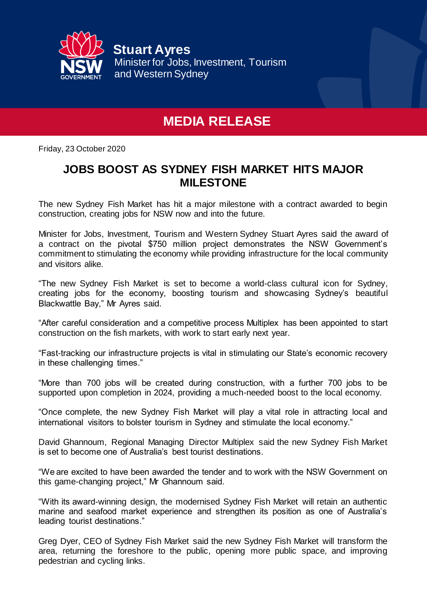

## **MEDIA RELEASE**

Friday, 23 October 2020

## **JOBS BOOST AS SYDNEY FISH MARKET HITS MAJOR MILESTONE**

The new Sydney Fish Market has hit a major milestone with a contract awarded to begin construction, creating jobs for NSW now and into the future.

Minister for Jobs, Investment, Tourism and Western Sydney Stuart Ayres said the award of a contract on the pivotal \$750 million project demonstrates the NSW Government's commitment to stimulating the economy while providing infrastructure for the local community and visitors alike.

"The new Sydney Fish Market is set to become a world-class cultural icon for Sydney, creating jobs for the economy, boosting tourism and showcasing Sydney's beautiful Blackwattle Bay," Mr Ayres said.

"After careful consideration and a competitive process Multiplex has been appointed to start construction on the fish markets, with work to start early next year.

"Fast-tracking our infrastructure projects is vital in stimulating our State's economic recovery in these challenging times."

"More than 700 jobs will be created during construction, with a further 700 jobs to be supported upon completion in 2024, providing a much-needed boost to the local economy.

"Once complete, the new Sydney Fish Market will play a vital role in attracting local and international visitors to bolster tourism in Sydney and stimulate the local economy."

David Ghannoum, Regional Managing Director Multiplex said the new Sydney Fish Market is set to become one of Australia's best tourist destinations.

"We are excited to have been awarded the tender and to work with the NSW Government on this game-changing project," Mr Ghannoum said.

"With its award-winning design, the modernised Sydney Fish Market will retain an authentic marine and seafood market experience and strengthen its position as one of Australia's leading tourist destinations."

Greg Dyer, CEO of Sydney Fish Market said the new Sydney Fish Market will transform the area, returning the foreshore to the public, opening more public space, and improving pedestrian and cycling links.